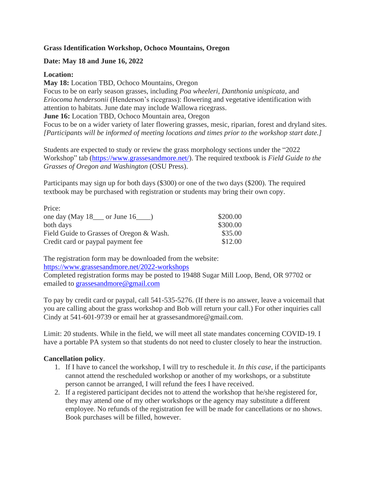## **Grass Identification Workshop, Ochoco Mountains, Oregon**

## **Date: May 18 and June 16, 2022**

## **Location:**

**May 18:** Location TBD, Ochoco Mountains, Oregon

Focus to be on early season grasses, including *Poa wheeleri, Danthonia unispicata*, and *Eriocoma hendersonii* (Henderson's ricegrass): flowering and vegetative identification with attention to habitats. June date may include Wallowa ricegrass.

**June 16:** Location TBD, Ochoco Mountain area, Oregon

Focus to be on a wider variety of later flowering grasses, mesic, riparian, forest and dryland sites. *[Participants will be informed of meeting locations and times prior to the workshop start date.]*

Students are expected to study or review the grass morphology sections under the "2022 Workshop" tab [\(https://www.grassesandmore.net/\)](https://www.grassesandmore.net/). The required textbook is *Field Guide to the Grasses of Oregon and Washington* (OSU Press).

Participants may sign up for both days (\$300) or one of the two days (\$200). The required textbook may be purchased with registration or students may bring their own copy.

| Price:                                   |          |
|------------------------------------------|----------|
| one day (May $18$ or June $16$ )         | \$200.00 |
| both days                                | \$300.00 |
| Field Guide to Grasses of Oregon & Wash. | \$35.00  |
| Credit card or paypal payment fee        | \$12.00  |

The registration form may be downloaded from the website: <https://www.grassesandmore.net/2022-workshops>

Completed registration forms may be posted to 19488 Sugar Mill Loop, Bend, OR 97702 or emailed to [grassesandmore@gmail.com](mailto:grassesandmore@gmail.com)

To pay by credit card or paypal, call 541-535-5276. (If there is no answer, leave a voicemail that you are calling about the grass workshop and Bob will return your call.) For other inquiries call Cindy at 541-601-9739 or email her at grassesandmore@gmail.com.

Limit: 20 students. While in the field, we will meet all state mandates concerning COVID-19. I have a portable PA system so that students do not need to cluster closely to hear the instruction.

# **Cancellation policy**.

- 1. If I have to cancel the workshop, I will try to reschedule it. *In this case*, if the participants cannot attend the rescheduled workshop or another of my workshops, or a substitute person cannot be arranged, I will refund the fees I have received.
- 2. If a registered participant decides not to attend the workshop that he/she registered for, they may attend one of my other workshops or the agency may substitute a different employee. No refunds of the registration fee will be made for cancellations or no shows. Book purchases will be filled, however.